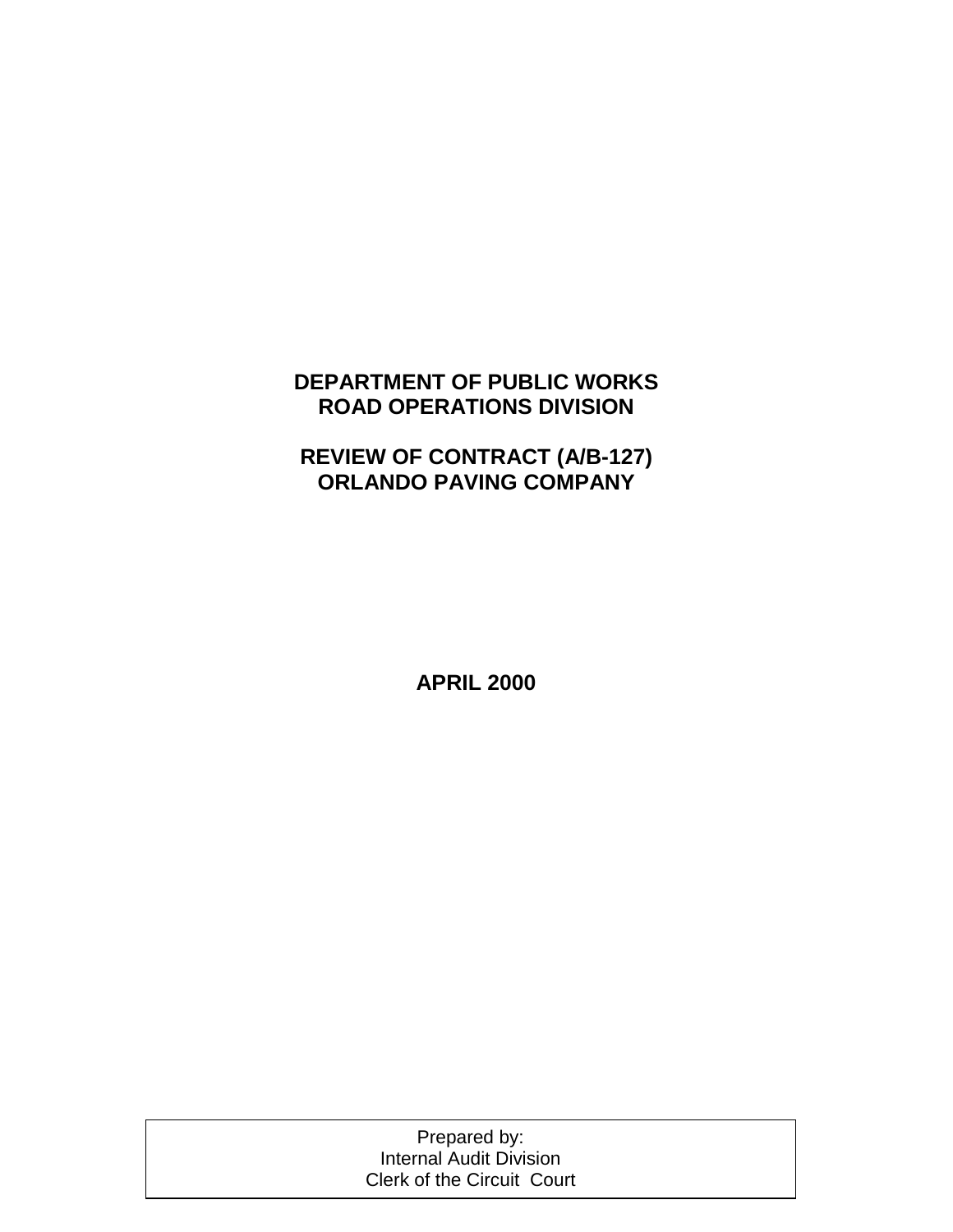## **DEPARTMENT OF PUBLIC WORKS ROAD OPERATIONS DIVISION**

# **REVIEW OF CONTRACT (A/B-127) ORLANDO PAVING COMPANY**

**APRIL 2000**

Prepared by: Internal Audit Division Clerk of the Circuit Court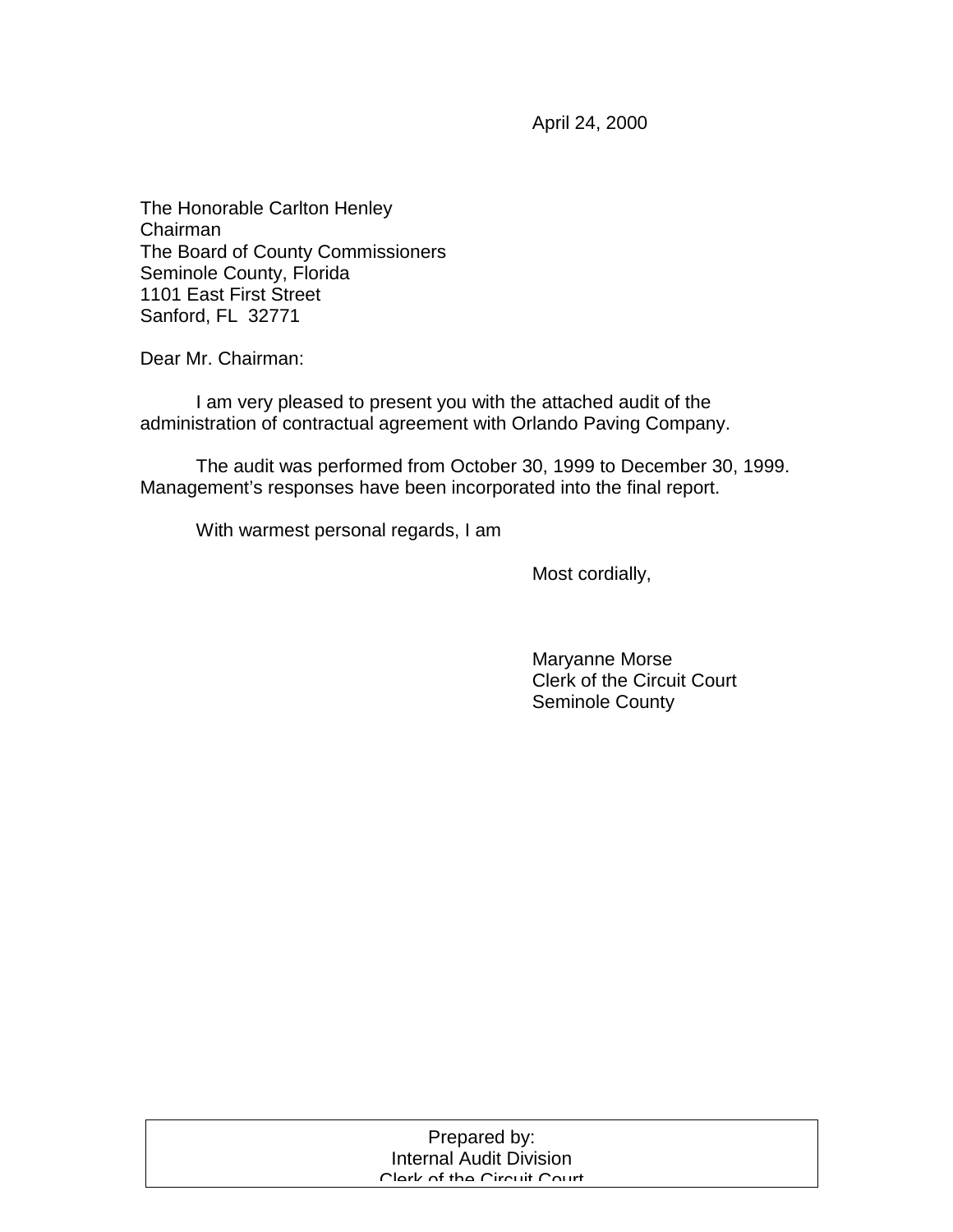April 24, 2000

The Honorable Carlton Henley Chairman The Board of County Commissioners Seminole County, Florida 1101 East First Street Sanford, FL 32771

Dear Mr. Chairman:

 I am very pleased to present you with the attached audit of the administration of contractual agreement with Orlando Paving Company.

 The audit was performed from October 30, 1999 to December 30, 1999. Management's responses have been incorporated into the final report.

With warmest personal regards, I am

Most cordially,

 Maryanne Morse Clerk of the Circuit Court Seminole County

| Prepared by:                   |  |
|--------------------------------|--|
| <b>Internal Audit Division</b> |  |
| Clark of the Circuit Court     |  |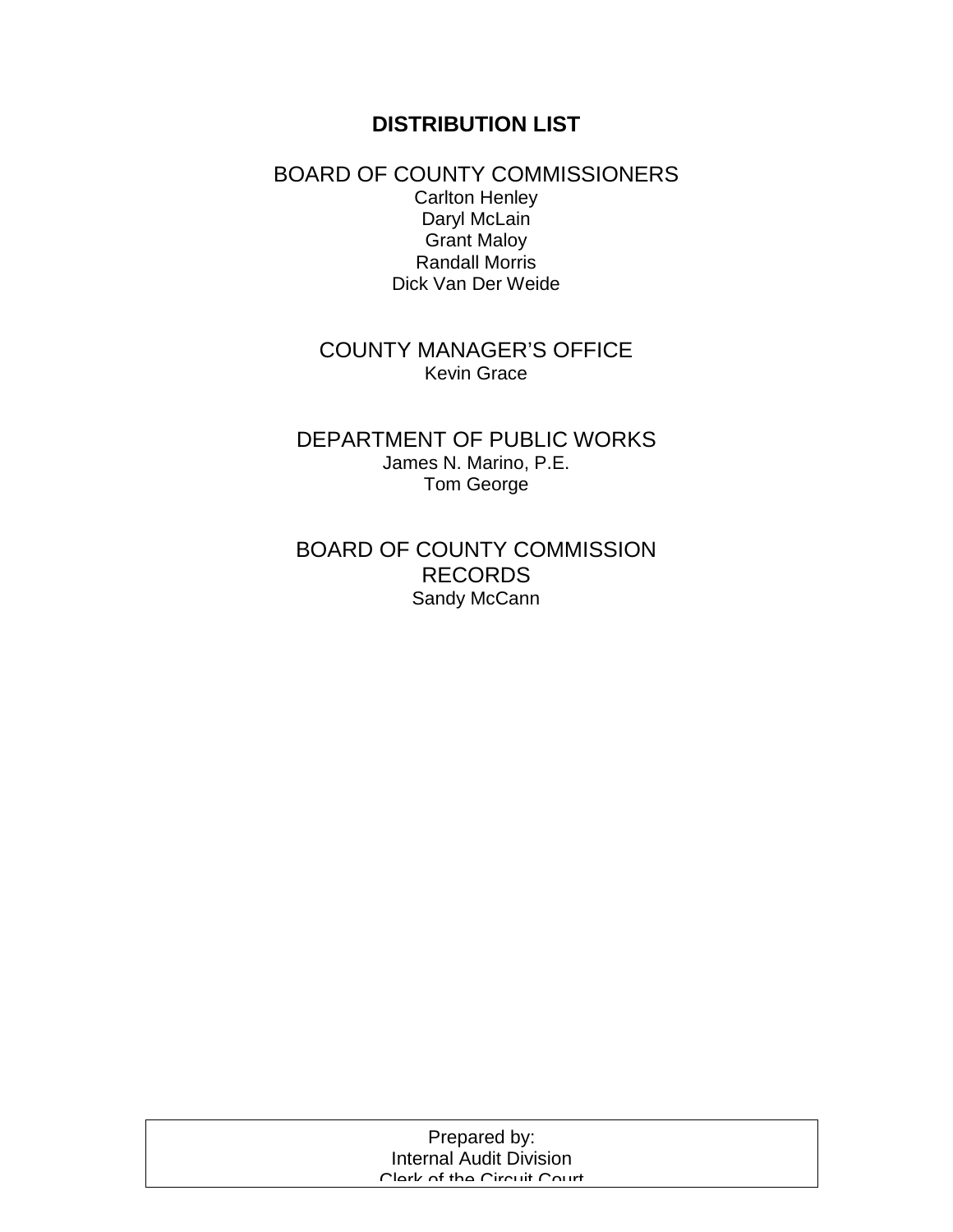## **DISTRIBUTION LIST**

### BOARD OF COUNTY COMMISSIONERS Carlton Henley Daryl McLain Grant Maloy Randall Morris Dick Van Der Weide

## COUNTY MANAGER'S OFFICE Kevin Grace

## DEPARTMENT OF PUBLIC WORKS James N. Marino, P.E. Tom George

## BOARD OF COUNTY COMMISSION RECORDS Sandy McCann

| Prepared by:                   |  |
|--------------------------------|--|
| <b>Internal Audit Division</b> |  |
| Clork of the Circuit Court     |  |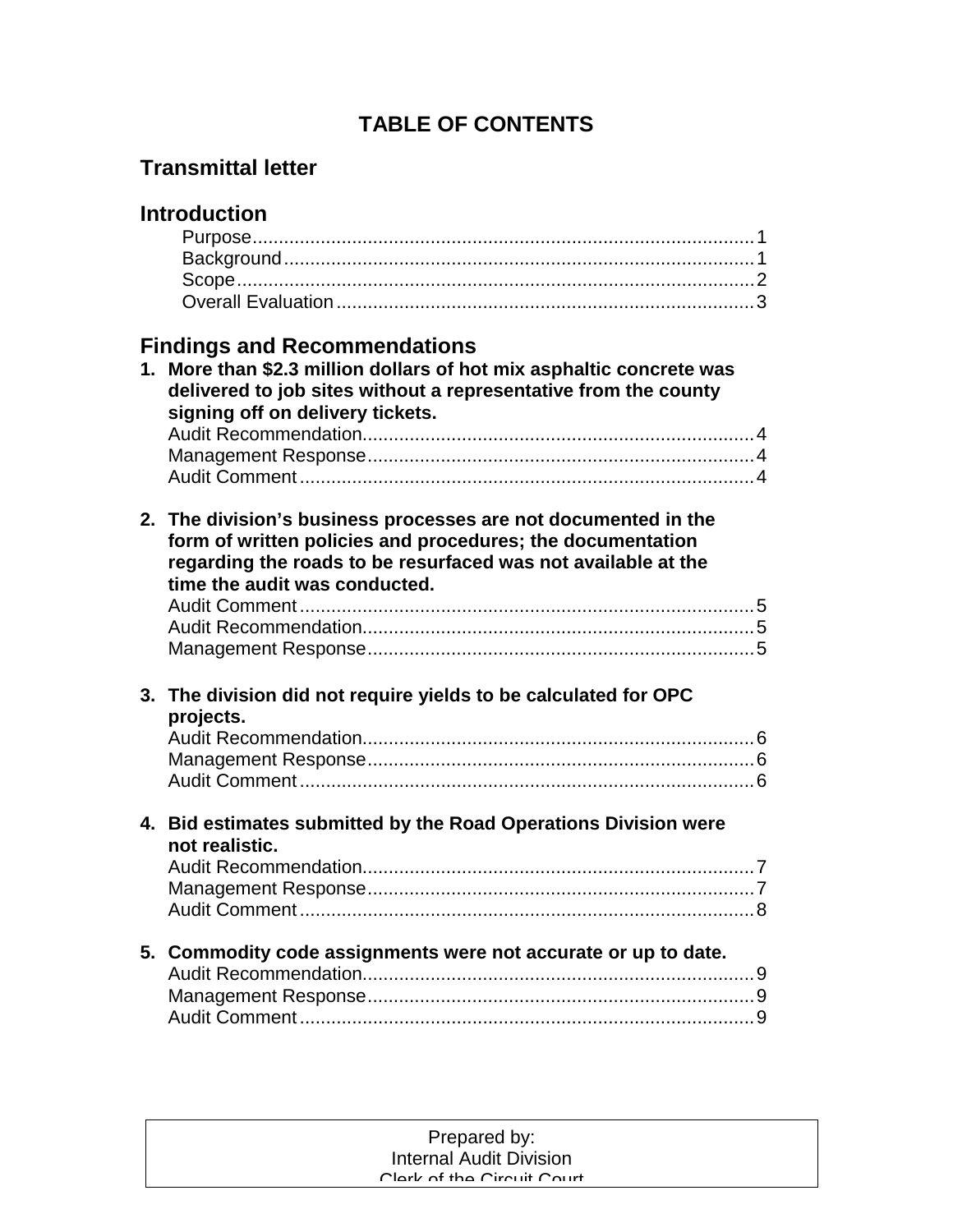# **TABLE OF CONTENTS**

# **Transmittal letter**

|    | <b>Introduction</b>                                                                                                                                                                                                            |
|----|--------------------------------------------------------------------------------------------------------------------------------------------------------------------------------------------------------------------------------|
|    |                                                                                                                                                                                                                                |
| 1. | <b>Findings and Recommendations</b><br>More than \$2.3 million dollars of hot mix asphaltic concrete was<br>delivered to job sites without a representative from the county<br>signing off on delivery tickets.                |
|    | 2. The division's business processes are not documented in the<br>form of written policies and procedures; the documentation<br>regarding the roads to be resurfaced was not available at the<br>time the audit was conducted. |
|    | 3. The division did not require yields to be calculated for OPC<br>projects.                                                                                                                                                   |
|    | 4. Bid estimates submitted by the Road Operations Division were<br>not realistic.                                                                                                                                              |
|    | 5. Commodity code assignments were not accurate or up to date.                                                                                                                                                                 |

#### Prepared by: Prepared by: Internal Audit Division Internal Audit Division Clerk of the Circuit Court Clerk of the Circuit Court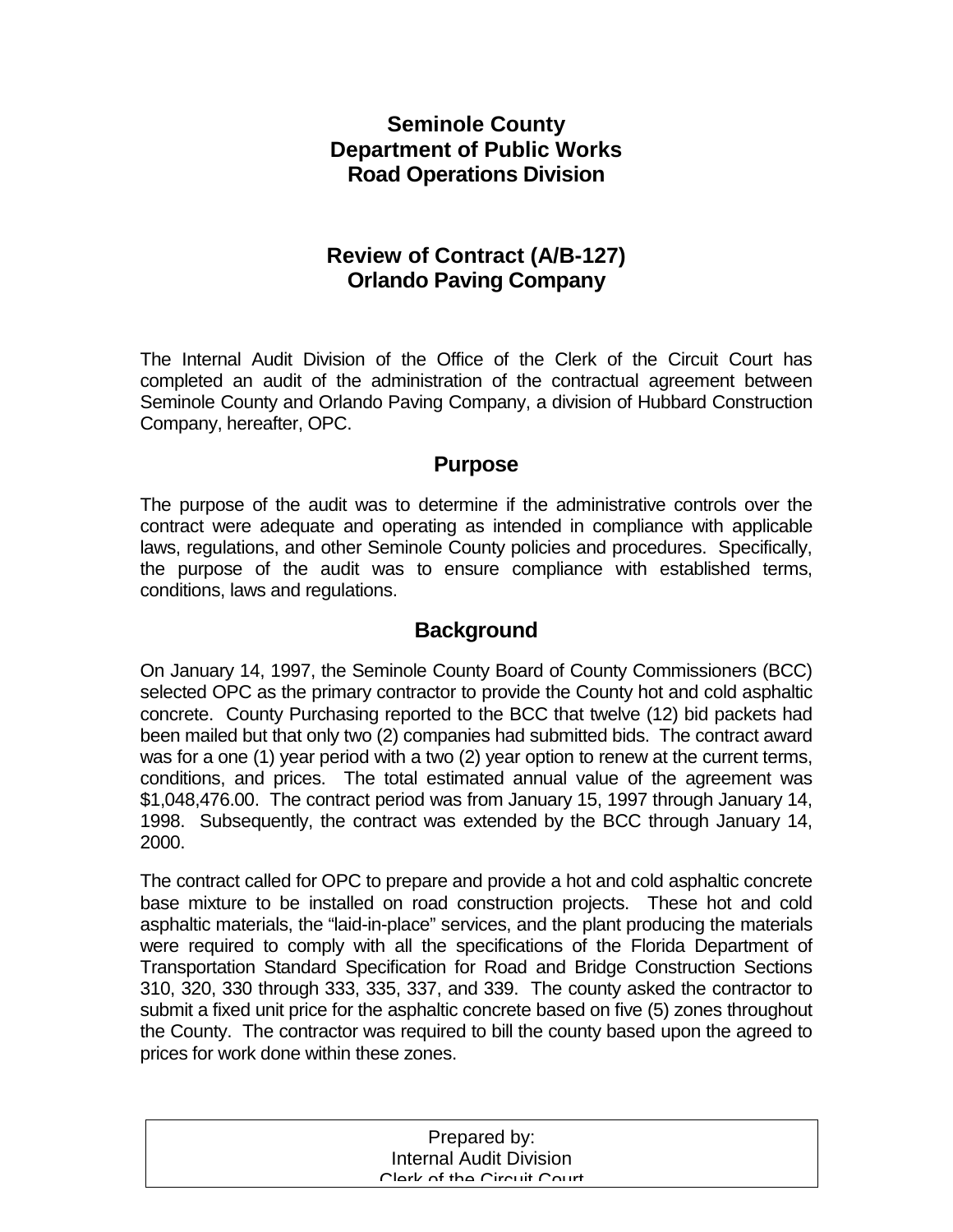## **Seminole County Department of Public Works Road Operations Division**

## **Review of Contract (A/B-127) Orlando Paving Company**

The Internal Audit Division of the Office of the Clerk of the Circuit Court has completed an audit of the administration of the contractual agreement between Seminole County and Orlando Paving Company, a division of Hubbard Construction Company, hereafter, OPC.

## **Purpose**

The purpose of the audit was to determine if the administrative controls over the contract were adequate and operating as intended in compliance with applicable laws, regulations, and other Seminole County policies and procedures. Specifically, the purpose of the audit was to ensure compliance with established terms, conditions, laws and regulations.

## **Background**

On January 14, 1997, the Seminole County Board of County Commissioners (BCC) selected OPC as the primary contractor to provide the County hot and cold asphaltic concrete. County Purchasing reported to the BCC that twelve (12) bid packets had been mailed but that only two (2) companies had submitted bids. The contract award was for a one (1) year period with a two (2) year option to renew at the current terms, conditions, and prices. The total estimated annual value of the agreement was \$1,048,476.00. The contract period was from January 15, 1997 through January 14, 1998. Subsequently, the contract was extended by the BCC through January 14, 2000.

The contract called for OPC to prepare and provide a hot and cold asphaltic concrete base mixture to be installed on road construction projects. These hot and cold asphaltic materials, the "laid-in-place" services, and the plant producing the materials were required to comply with all the specifications of the Florida Department of Transportation Standard Specification for Road and Bridge Construction Sections 310, 320, 330 through 333, 335, 337, and 339. The county asked the contractor to submit a fixed unit price for the asphaltic concrete based on five (5) zones throughout the County. The contractor was required to bill the county based upon the agreed to prices for work done within these zones.

| Prepared by:                   |  |
|--------------------------------|--|
| <b>Internal Audit Division</b> |  |
| Clark of the Circuit Court     |  |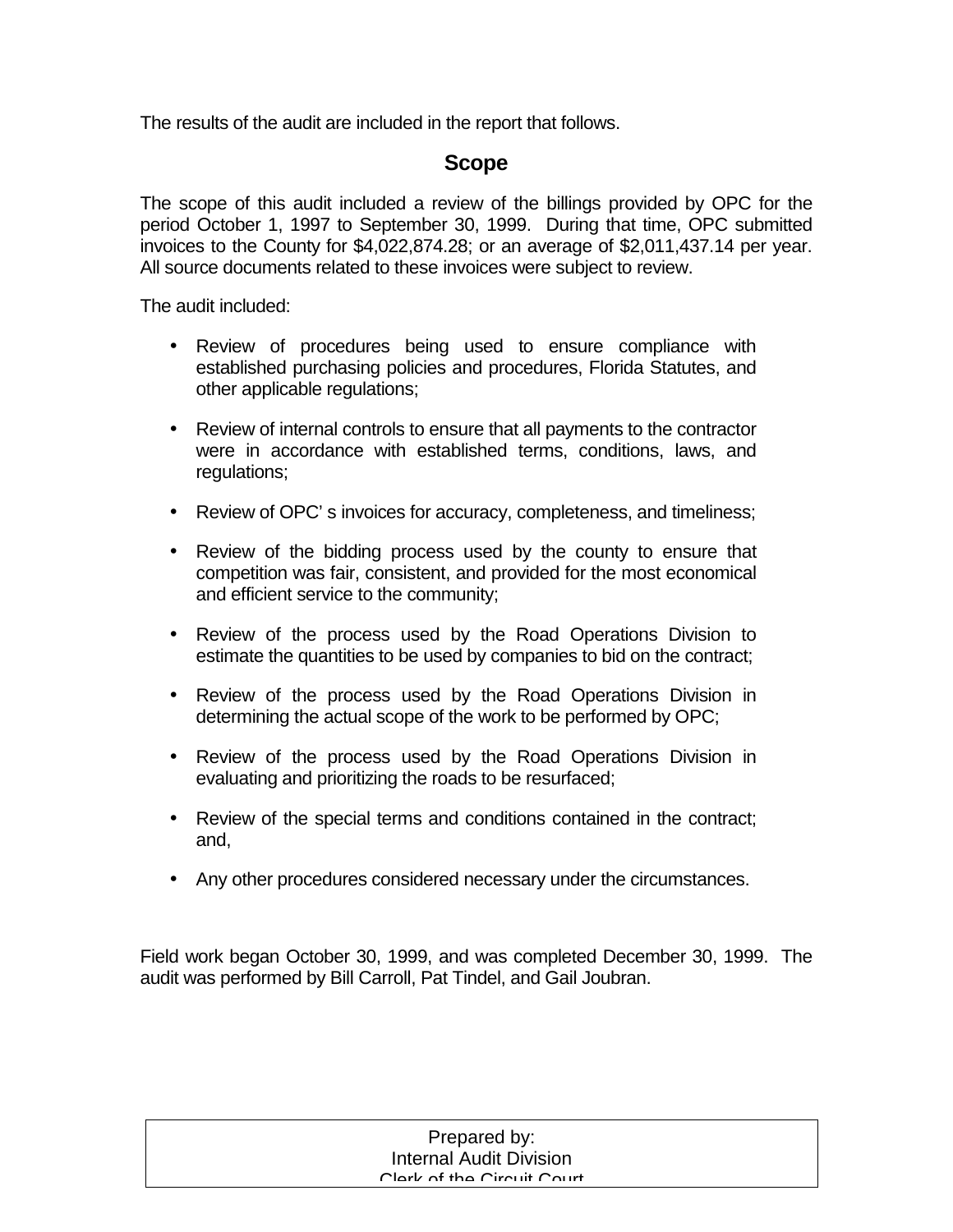The results of the audit are included in the report that follows.

## **Scope**

The scope of this audit included a review of the billings provided by OPC for the period October 1, 1997 to September 30, 1999. During that time, OPC submitted invoices to the County for \$4,022,874.28; or an average of \$2,011,437.14 per year. All source documents related to these invoices were subject to review.

The audit included:

- Review of procedures being used to ensure compliance with established purchasing policies and procedures, Florida Statutes, and other applicable regulations;
- Review of internal controls to ensure that all payments to the contractor were in accordance with established terms, conditions, laws, and regulations;
- Review of OPC' s invoices for accuracy, completeness, and timeliness;
- Review of the bidding process used by the county to ensure that competition was fair, consistent, and provided for the most economical and efficient service to the community;
- Review of the process used by the Road Operations Division to estimate the quantities to be used by companies to bid on the contract;
- Review of the process used by the Road Operations Division in determining the actual scope of the work to be performed by OPC;
- Review of the process used by the Road Operations Division in evaluating and prioritizing the roads to be resurfaced;
- Review of the special terms and conditions contained in the contract; and,
- Any other procedures considered necessary under the circumstances.

Field work began October 30, 1999, and was completed December 30, 1999. The audit was performed by Bill Carroll, Pat Tindel, and Gail Joubran.

| Prepared by:                   |  |
|--------------------------------|--|
| <b>Internal Audit Division</b> |  |
| Clork of the Circuit Court     |  |
|                                |  |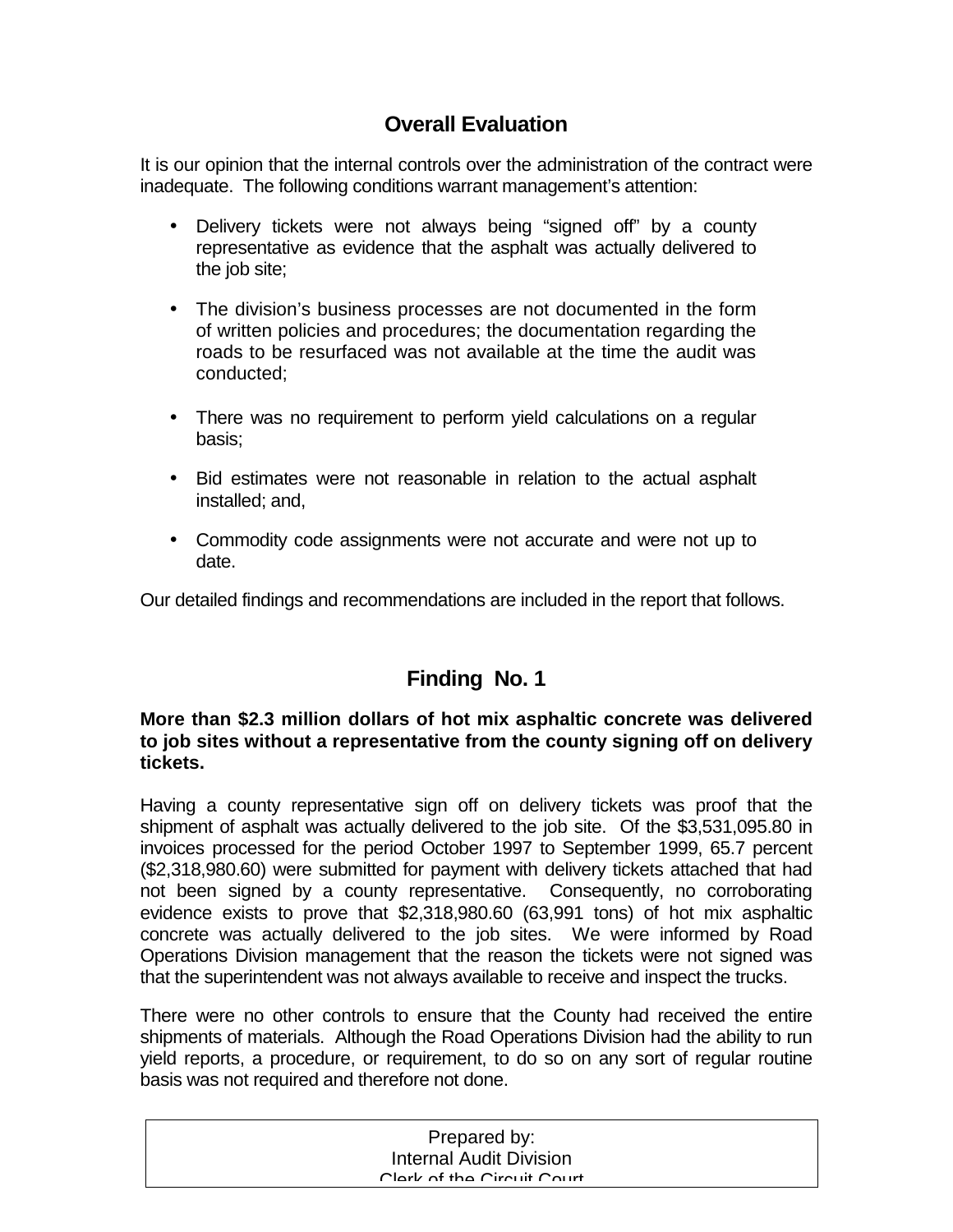## **Overall Evaluation**

It is our opinion that the internal controls over the administration of the contract were inadequate. The following conditions warrant management's attention:

- Delivery tickets were not always being "signed off" by a county representative as evidence that the asphalt was actually delivered to the job site;
- The division's business processes are not documented in the form of written policies and procedures; the documentation regarding the roads to be resurfaced was not available at the time the audit was conducted;
- There was no requirement to perform yield calculations on a regular basis;
- Bid estimates were not reasonable in relation to the actual asphalt installed; and,
- Commodity code assignments were not accurate and were not up to date.

Our detailed findings and recommendations are included in the report that follows.

# **Finding No. 1**

### **More than \$2.3 million dollars of hot mix asphaltic concrete was delivered to job sites without a representative from the county signing off on delivery tickets.**

Having a county representative sign off on delivery tickets was proof that the shipment of asphalt was actually delivered to the job site. Of the \$3,531,095.80 in invoices processed for the period October 1997 to September 1999, 65.7 percent (\$2,318,980.60) were submitted for payment with delivery tickets attached that had not been signed by a county representative. Consequently, no corroborating evidence exists to prove that \$2,318,980.60 (63,991 tons) of hot mix asphaltic concrete was actually delivered to the job sites. We were informed by Road Operations Division management that the reason the tickets were not signed was that the superintendent was not always available to receive and inspect the trucks.

There were no other controls to ensure that the County had received the entire shipments of materials. Although the Road Operations Division had the ability to run yield reports, a procedure, or requirement, to do so on any sort of regular routine basis was not required and therefore not done.

| Prepared by:                   |  |
|--------------------------------|--|
| <b>Internal Audit Division</b> |  |
| Clork of the Circuit Court     |  |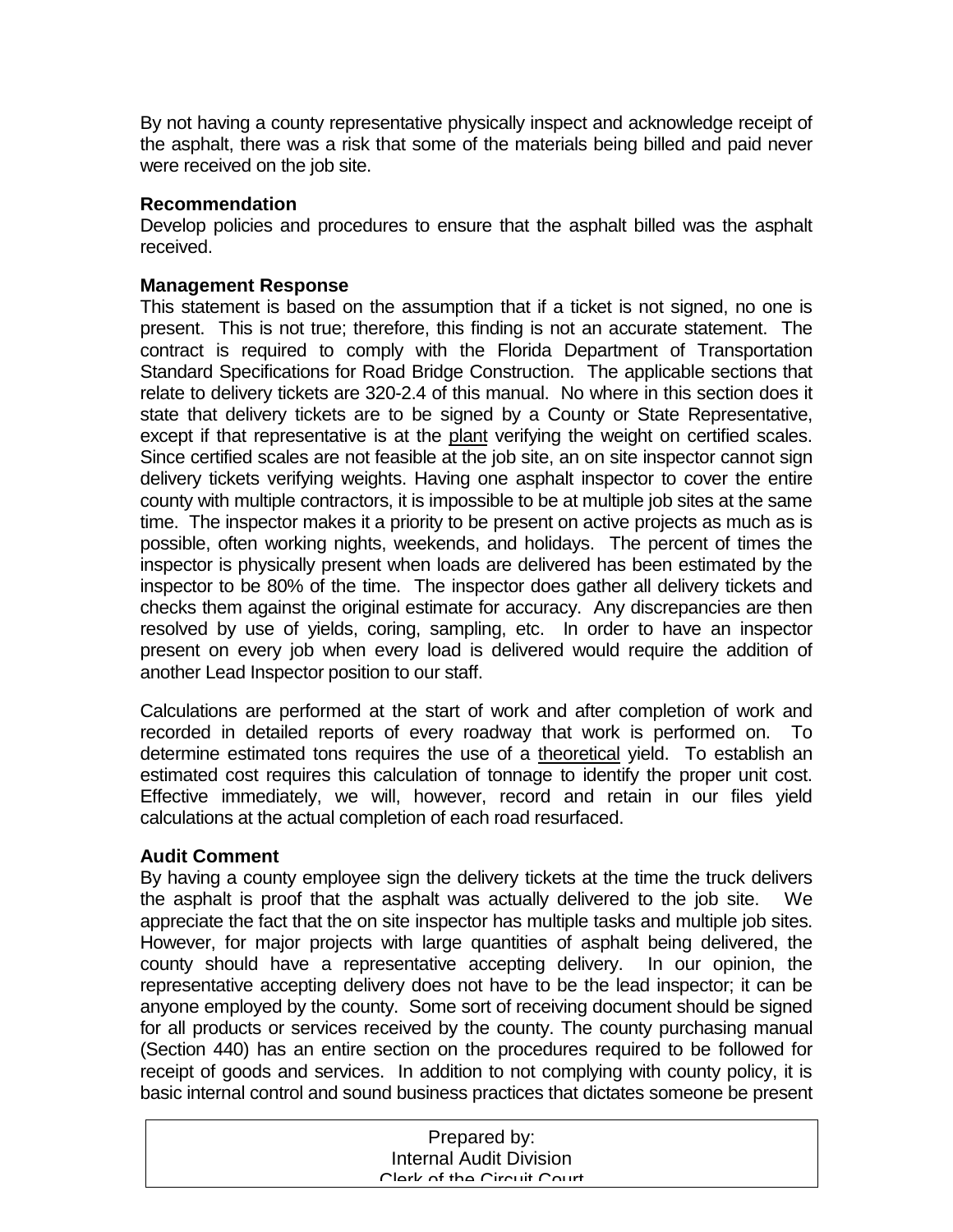By not having a county representative physically inspect and acknowledge receipt of the asphalt, there was a risk that some of the materials being billed and paid never were received on the job site.

#### **Recommendation**

Develop policies and procedures to ensure that the asphalt billed was the asphalt received.

#### **Management Response**

This statement is based on the assumption that if a ticket is not signed, no one is present. This is not true; therefore, this finding is not an accurate statement. The contract is required to comply with the Florida Department of Transportation Standard Specifications for Road Bridge Construction. The applicable sections that relate to delivery tickets are 320-2.4 of this manual. No where in this section does it state that delivery tickets are to be signed by a County or State Representative, except if that representative is at the plant verifying the weight on certified scales. Since certified scales are not feasible at the job site, an on site inspector cannot sign delivery tickets verifying weights. Having one asphalt inspector to cover the entire county with multiple contractors, it is impossible to be at multiple job sites at the same time. The inspector makes it a priority to be present on active projects as much as is possible, often working nights, weekends, and holidays. The percent of times the inspector is physically present when loads are delivered has been estimated by the inspector to be 80% of the time. The inspector does gather all delivery tickets and checks them against the original estimate for accuracy. Any discrepancies are then resolved by use of yields, coring, sampling, etc. In order to have an inspector present on every job when every load is delivered would require the addition of another Lead Inspector position to our staff.

Calculations are performed at the start of work and after completion of work and recorded in detailed reports of every roadway that work is performed on. To determine estimated tons requires the use of a theoretical yield. To establish an estimated cost requires this calculation of tonnage to identify the proper unit cost. Effective immediately, we will, however, record and retain in our files yield calculations at the actual completion of each road resurfaced.

### **Audit Comment**

By having a county employee sign the delivery tickets at the time the truck delivers the asphalt is proof that the asphalt was actually delivered to the job site. We appreciate the fact that the on site inspector has multiple tasks and multiple job sites. However, for major projects with large quantities of asphalt being delivered, the county should have a representative accepting delivery. In our opinion, the representative accepting delivery does not have to be the lead inspector; it can be anyone employed by the county. Some sort of receiving document should be signed for all products or services received by the county. The county purchasing manual (Section 440) has an entire section on the procedures required to be followed for receipt of goods and services. In addition to not complying with county policy, it is basic internal control and sound business practices that dictates someone be present

| Prepared by:                   |
|--------------------------------|
| <b>Internal Audit Division</b> |
| Clork of the Circuit Court     |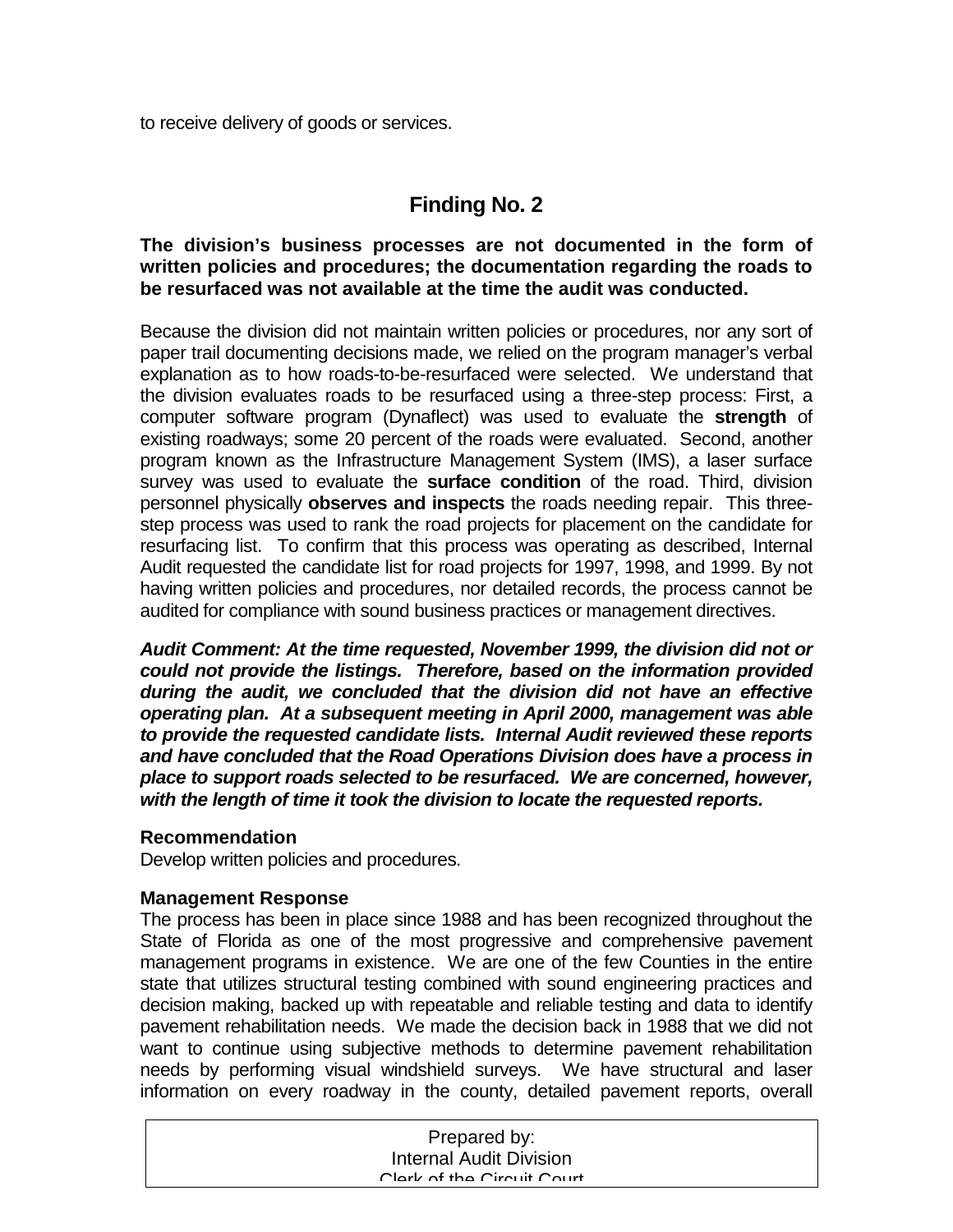to receive delivery of goods or services.

## **Finding No. 2**

### **The division's business processes are not documented in the form of written policies and procedures; the documentation regarding the roads to be resurfaced was not available at the time the audit was conducted.**

Because the division did not maintain written policies or procedures, nor any sort of paper trail documenting decisions made, we relied on the program manager's verbal explanation as to how roads-to-be-resurfaced were selected. We understand that the division evaluates roads to be resurfaced using a three-step process: First, a computer software program (Dynaflect) was used to evaluate the **strength** of existing roadways; some 20 percent of the roads were evaluated. Second, another program known as the Infrastructure Management System (IMS), a laser surface survey was used to evaluate the **surface condition** of the road. Third, division personnel physically **observes and inspects** the roads needing repair. This threestep process was used to rank the road projects for placement on the candidate for resurfacing list. To confirm that this process was operating as described, Internal Audit requested the candidate list for road projects for 1997, 1998, and 1999. By not having written policies and procedures, nor detailed records, the process cannot be audited for compliance with sound business practices or management directives.

*Audit Comment: At the time requested, November 1999, the division did not or could not provide the listings. Therefore, based on the information provided during the audit, we concluded that the division did not have an effective operating plan. At a subsequent meeting in April 2000, management was able to provide the requested candidate lists. Internal Audit reviewed these reports and have concluded that the Road Operations Division does have a process in place to support roads selected to be resurfaced. We are concerned, however, with the length of time it took the division to locate the requested reports.* 

### **Recommendation**

Develop written policies and procedures.

#### **Management Response**

The process has been in place since 1988 and has been recognized throughout the State of Florida as one of the most progressive and comprehensive pavement management programs in existence. We are one of the few Counties in the entire state that utilizes structural testing combined with sound engineering practices and decision making, backed up with repeatable and reliable testing and data to identify pavement rehabilitation needs. We made the decision back in 1988 that we did not want to continue using subjective methods to determine pavement rehabilitation needs by performing visual windshield surveys. We have structural and laser information on every roadway in the county, detailed pavement reports, overall

| Prepared by:                   |  |
|--------------------------------|--|
| <b>Internal Audit Division</b> |  |
| Clork of the Circuit Court     |  |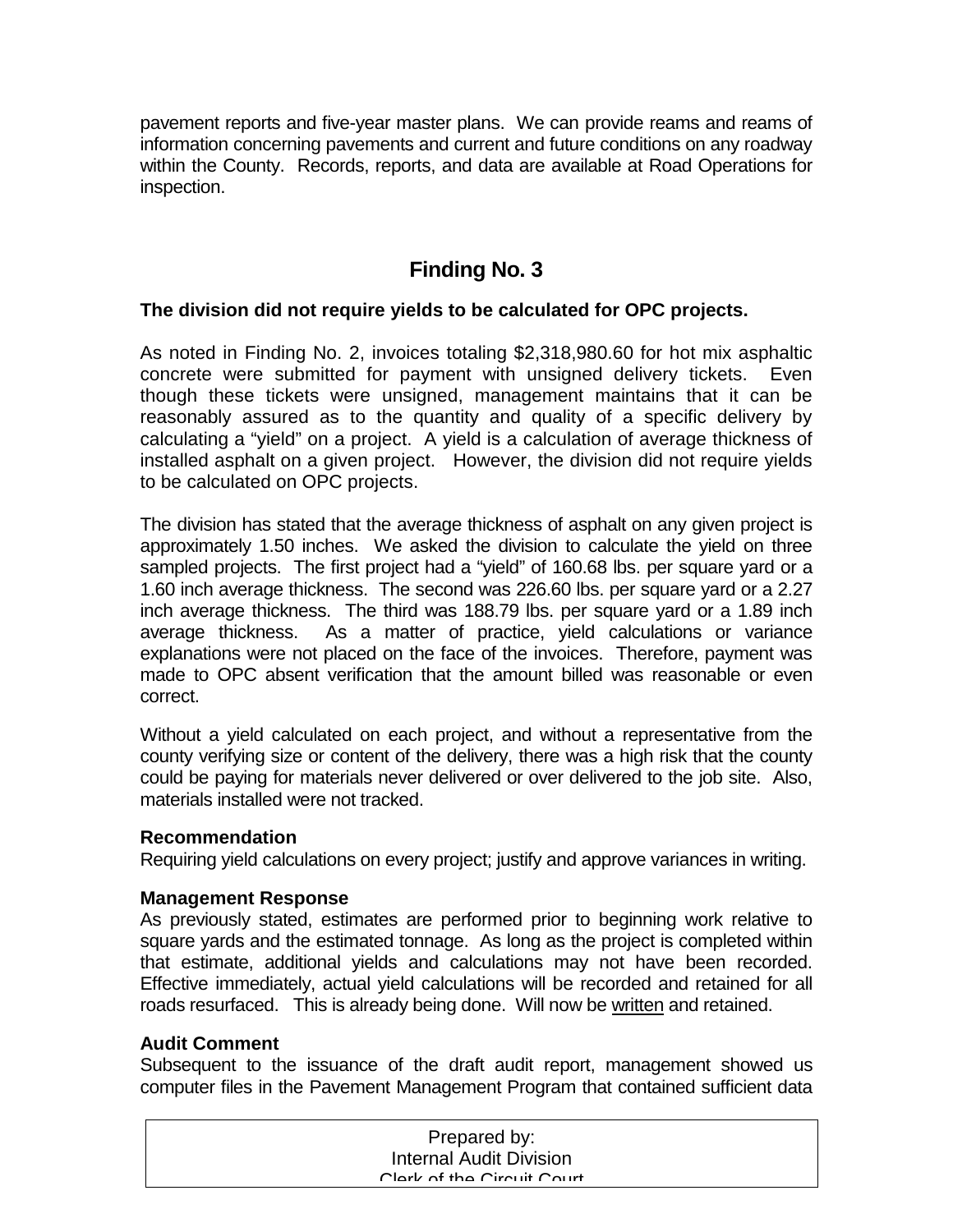pavement reports and five-year master plans. We can provide reams and reams of information concerning pavements and current and future conditions on any roadway within the County. Records, reports, and data are available at Road Operations for inspection.

# **Finding No. 3**

### **The division did not require yields to be calculated for OPC projects.**

As noted in Finding No. 2, invoices totaling \$2,318,980.60 for hot mix asphaltic concrete were submitted for payment with unsigned delivery tickets. Even though these tickets were unsigned, management maintains that it can be reasonably assured as to the quantity and quality of a specific delivery by calculating a "yield" on a project. A yield is a calculation of average thickness of installed asphalt on a given project. However, the division did not require yields to be calculated on OPC projects.

The division has stated that the average thickness of asphalt on any given project is approximately 1.50 inches. We asked the division to calculate the yield on three sampled projects. The first project had a "yield" of 160.68 lbs. per square yard or a 1.60 inch average thickness. The second was 226.60 lbs. per square yard or a 2.27 inch average thickness. The third was 188.79 lbs. per square yard or a 1.89 inch average thickness. As a matter of practice, yield calculations or variance explanations were not placed on the face of the invoices. Therefore, payment was made to OPC absent verification that the amount billed was reasonable or even correct.

Without a yield calculated on each project, and without a representative from the county verifying size or content of the delivery, there was a high risk that the county could be paying for materials never delivered or over delivered to the job site. Also, materials installed were not tracked.

#### **Recommendation**

Requiring yield calculations on every project; justify and approve variances in writing.

#### **Management Response**

As previously stated, estimates are performed prior to beginning work relative to square yards and the estimated tonnage. As long as the project is completed within that estimate, additional yields and calculations may not have been recorded. Effective immediately, actual yield calculations will be recorded and retained for all roads resurfaced. This is already being done. Will now be written and retained.

### **Audit Comment**

Subsequent to the issuance of the draft audit report, management showed us computer files in the Pavement Management Program that contained sufficient data

| Prepared by:                   |
|--------------------------------|
| <b>Internal Audit Division</b> |
| Clork of the Circuit Court     |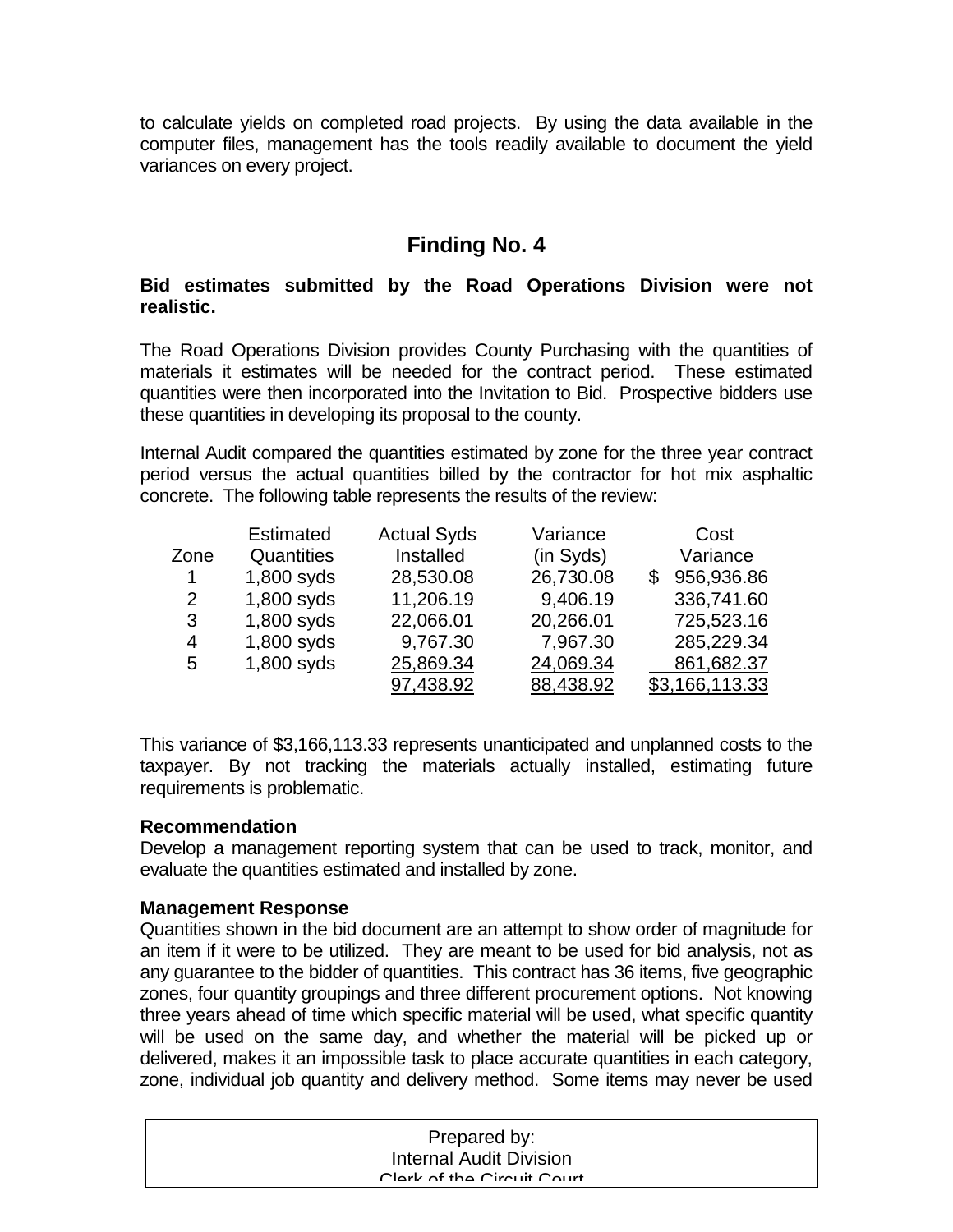to calculate yields on completed road projects. By using the data available in the computer files, management has the tools readily available to document the yield variances on every project.

## **Finding No. 4**

### **Bid estimates submitted by the Road Operations Division were not realistic.**

The Road Operations Division provides County Purchasing with the quantities of materials it estimates will be needed for the contract period. These estimated quantities were then incorporated into the Invitation to Bid. Prospective bidders use these quantities in developing its proposal to the county.

Internal Audit compared the quantities estimated by zone for the three year contract period versus the actual quantities billed by the contractor for hot mix asphaltic concrete. The following table represents the results of the review:

|                       | <b>Estimated</b> | <b>Actual Syds</b> | Variance  | Cost            |
|-----------------------|------------------|--------------------|-----------|-----------------|
| Zone                  | Quantities       | Installed          | (in Syds) | Variance        |
| $\mathbf 1$           | 1,800 syds       | 28,530.08          | 26,730.08 | 956,936.86<br>S |
| $\mathbf{2}^{\prime}$ | 1,800 syds       | 11,206.19          | 9,406.19  | 336,741.60      |
| 3                     | 1,800 syds       | 22,066.01          | 20,266.01 | 725,523.16      |
| $\overline{4}$        | 1,800 syds       | 9,767.30           | 7,967.30  | 285,229.34      |
| 5                     | 1,800 syds       | 25,869.34          | 24,069.34 | 861,682.37      |
|                       |                  | 97,438.92          | 88,438.92 | \$3,166,113.33  |

This variance of \$3,166,113.33 represents unanticipated and unplanned costs to the taxpayer. By not tracking the materials actually installed, estimating future requirements is problematic.

#### **Recommendation**

Develop a management reporting system that can be used to track, monitor, and evaluate the quantities estimated and installed by zone.

#### **Management Response**

Quantities shown in the bid document are an attempt to show order of magnitude for an item if it were to be utilized. They are meant to be used for bid analysis, not as any guarantee to the bidder of quantities. This contract has 36 items, five geographic zones, four quantity groupings and three different procurement options. Not knowing three years ahead of time which specific material will be used, what specific quantity will be used on the same day, and whether the material will be picked up or delivered, makes it an impossible task to place accurate quantities in each category, zone, individual job quantity and delivery method. Some items may never be used

| Prepared by:                   |
|--------------------------------|
| <b>Internal Audit Division</b> |
| Clork of the Circuit Court     |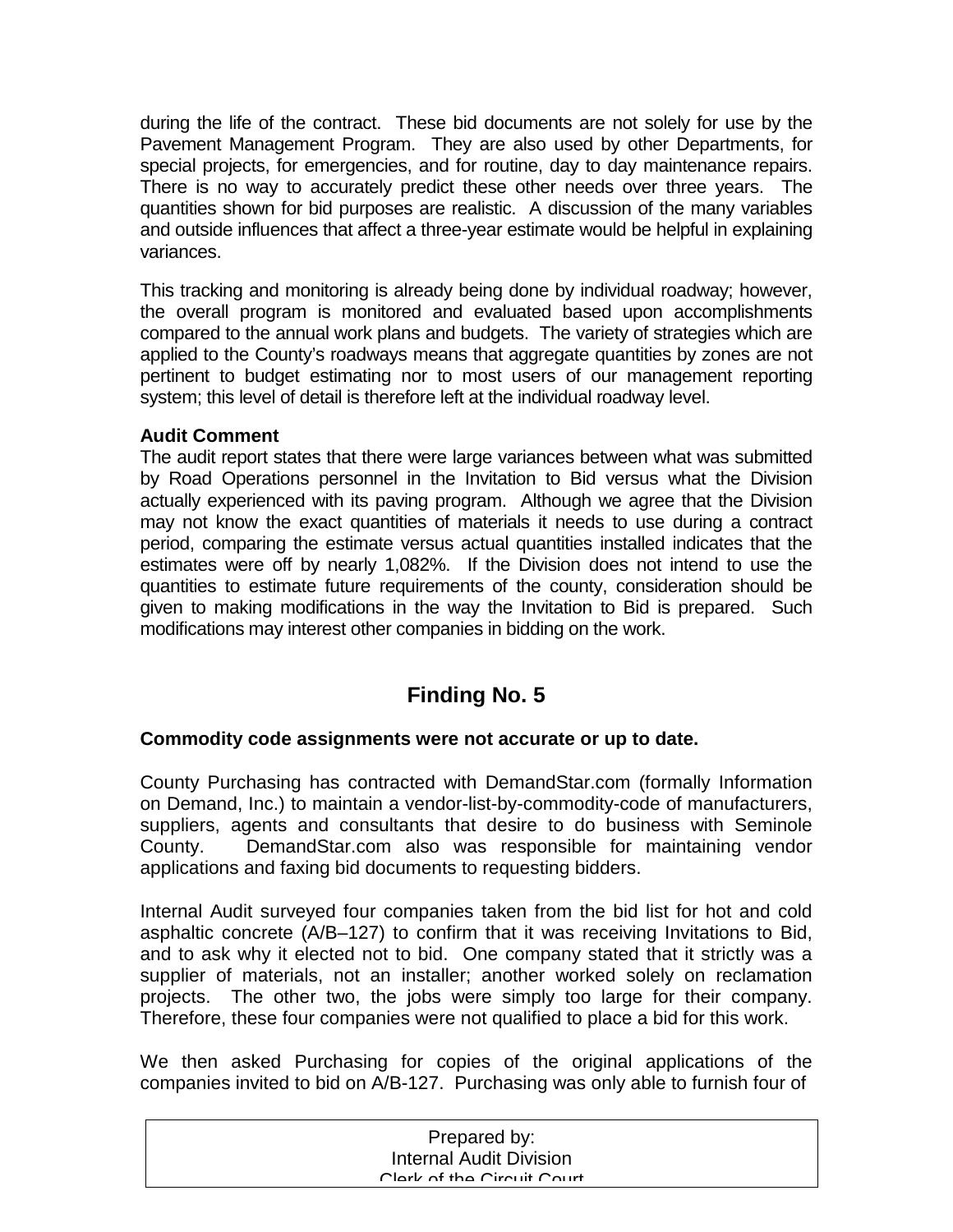during the life of the contract. These bid documents are not solely for use by the Pavement Management Program. They are also used by other Departments, for special projects, for emergencies, and for routine, day to day maintenance repairs. There is no way to accurately predict these other needs over three years. The quantities shown for bid purposes are realistic. A discussion of the many variables and outside influences that affect a three-year estimate would be helpful in explaining variances.

This tracking and monitoring is already being done by individual roadway; however, the overall program is monitored and evaluated based upon accomplishments compared to the annual work plans and budgets. The variety of strategies which are applied to the County's roadways means that aggregate quantities by zones are not pertinent to budget estimating nor to most users of our management reporting system; this level of detail is therefore left at the individual roadway level.

## **Audit Comment**

The audit report states that there were large variances between what was submitted by Road Operations personnel in the Invitation to Bid versus what the Division actually experienced with its paving program. Although we agree that the Division may not know the exact quantities of materials it needs to use during a contract period, comparing the estimate versus actual quantities installed indicates that the estimates were off by nearly 1,082%. If the Division does not intend to use the quantities to estimate future requirements of the county, consideration should be given to making modifications in the way the Invitation to Bid is prepared. Such modifications may interest other companies in bidding on the work.

# **Finding No. 5**

### **Commodity code assignments were not accurate or up to date.**

County Purchasing has contracted with DemandStar.com (formally Information on Demand, Inc.) to maintain a vendor-list-by-commodity-code of manufacturers, suppliers, agents and consultants that desire to do business with Seminole County. DemandStar.com also was responsible for maintaining vendor applications and faxing bid documents to requesting bidders.

Internal Audit surveyed four companies taken from the bid list for hot and cold asphaltic concrete (A/B–127) to confirm that it was receiving Invitations to Bid, and to ask why it elected not to bid. One company stated that it strictly was a supplier of materials, not an installer; another worked solely on reclamation projects. The other two, the jobs were simply too large for their company. Therefore, these four companies were not qualified to place a bid for this work.

We then asked Purchasing for copies of the original applications of the companies invited to bid on A/B-127. Purchasing was only able to furnish four of

| Prepared by:                   |  |
|--------------------------------|--|
| <b>Internal Audit Division</b> |  |
| Clork of the Circuit Court     |  |